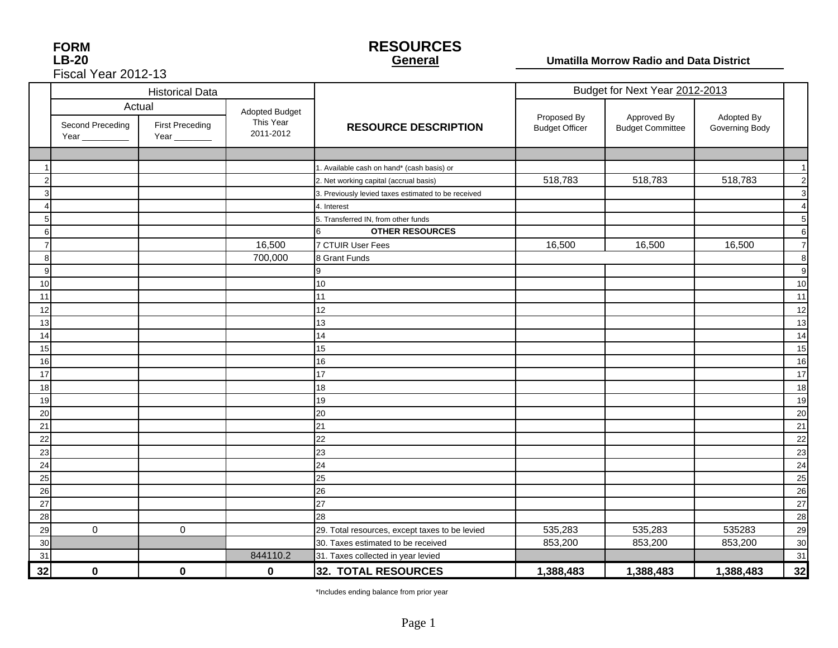| <b>FORM</b>         |
|---------------------|
| <b>LB-20</b>        |
| Fiscal Year 2012-13 |

#### **RESOURCES General**

#### **Umatilla Morrow Radio and Data District**

|    |                                 | <b>Historical Data</b>                            |                                          |                                                     | Budget for Next Year 2012-2013       |                                        |                              |                |
|----|---------------------------------|---------------------------------------------------|------------------------------------------|-----------------------------------------------------|--------------------------------------|----------------------------------------|------------------------------|----------------|
|    | Second Preceding<br>Year $\_\_$ | Actual<br><b>First Preceding</b><br>Year ________ | Adopted Budget<br>This Year<br>2011-2012 | <b>RESOURCE DESCRIPTION</b>                         | Proposed By<br><b>Budget Officer</b> | Approved By<br><b>Budget Committee</b> | Adopted By<br>Governing Body |                |
|    |                                 |                                                   |                                          |                                                     |                                      |                                        |                              |                |
|    |                                 |                                                   |                                          | 1. Available cash on hand* (cash basis) or          |                                      |                                        |                              | $\overline{1}$ |
|    |                                 |                                                   |                                          | 2. Net working capital (accrual basis)              | 518,783                              | 518,783                                | 518,783                      | $\overline{2}$ |
|    |                                 |                                                   |                                          | 3. Previously levied taxes estimated to be received |                                      |                                        |                              | 3              |
|    |                                 |                                                   |                                          | 4. Interest                                         |                                      |                                        |                              | $\overline{4}$ |
|    |                                 |                                                   |                                          | 5. Transferred IN, from other funds                 |                                      |                                        |                              | 5              |
| ิค |                                 |                                                   |                                          | <b>OTHER RESOURCES</b><br>6                         |                                      |                                        |                              | 6              |
|    |                                 |                                                   | 16,500                                   | 7 CTUIR User Fees                                   | 16,500                               | 16,500                                 | 16,500                       | $\overline{7}$ |
| 8  |                                 |                                                   | 700,000                                  | 8 Grant Funds                                       |                                      |                                        |                              | 8              |
| 9  |                                 |                                                   |                                          | 9                                                   |                                      |                                        |                              | 9              |
| 10 |                                 |                                                   |                                          | 10                                                  |                                      |                                        |                              | 10             |
| 11 |                                 |                                                   |                                          | 11                                                  |                                      |                                        |                              | 11             |
| 12 |                                 |                                                   |                                          | 12                                                  |                                      |                                        |                              | 12             |
| 13 |                                 |                                                   |                                          | 13                                                  |                                      |                                        |                              | 13             |
| 14 |                                 |                                                   |                                          | 14                                                  |                                      |                                        |                              | 14             |
| 15 |                                 |                                                   |                                          | 15                                                  |                                      |                                        |                              | 15             |
| 16 |                                 |                                                   |                                          | 16                                                  |                                      |                                        |                              | 16             |
| 17 |                                 |                                                   |                                          | 17                                                  |                                      |                                        |                              | 17             |
| 18 |                                 |                                                   |                                          | 18                                                  |                                      |                                        |                              | 18             |
| 19 |                                 |                                                   |                                          | 19                                                  |                                      |                                        |                              | 19             |
| 20 |                                 |                                                   |                                          | 20                                                  |                                      |                                        |                              | 20             |
| 21 |                                 |                                                   |                                          | 21                                                  |                                      |                                        |                              | 21             |
| 22 |                                 |                                                   |                                          | 22                                                  |                                      |                                        |                              | 22             |
| 23 |                                 |                                                   |                                          | 23                                                  |                                      |                                        |                              | 23             |
| 24 |                                 |                                                   |                                          | 24                                                  |                                      |                                        |                              | 24             |
| 25 |                                 |                                                   |                                          | 25                                                  |                                      |                                        |                              | 25             |
| 26 |                                 |                                                   |                                          | 26                                                  |                                      |                                        |                              | 26             |
| 27 |                                 |                                                   |                                          | 27                                                  |                                      |                                        |                              | 27             |
| 28 |                                 |                                                   |                                          | 28                                                  |                                      |                                        |                              | 28             |
| 29 | $\mathbf 0$                     | $\mathbf 0$                                       |                                          | 29. Total resources, except taxes to be levied      | 535,283                              | 535,283                                | 535283                       | 29             |
| 30 |                                 |                                                   |                                          | 30. Taxes estimated to be received                  | 853,200                              | 853,200                                | 853,200                      | 30             |
| 31 |                                 |                                                   | 844110.2                                 | 31. Taxes collected in year levied                  |                                      |                                        |                              | 31             |
| 32 | $\bf{0}$                        | 0                                                 | 0                                        | 32. TOTAL RESOURCES                                 | 1,388,483                            | 1,388,483                              | 1,388,483                    | 32             |

\*Includes ending balance from prior year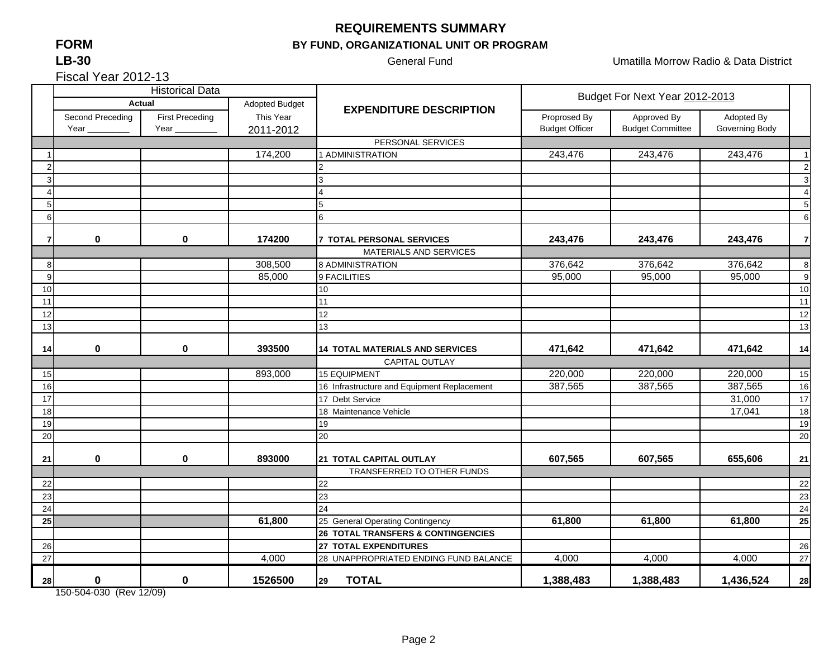#### **FORMLB-30**

### **REQUIREMENTS SUMMARY**

#### **BY FUND, ORGANIZATIONAL UNIT OR PROGRAM**

General Fund **Contract Contract Contract Contract Contract Contract Contract Contract Contract Contract Contract Contract Contract Contract Contract Contract Contract Contract Contract Contract Contract Contract Contract C** 

Fiscal Year 2012-13

|    |                  | <b>Historical Data</b> |                |                                             |                       | Budget For Next Year 2012-2013 |                |                |  |  |
|----|------------------|------------------------|----------------|---------------------------------------------|-----------------------|--------------------------------|----------------|----------------|--|--|
|    | <b>Actual</b>    |                        | Adopted Budget | <b>EXPENDITURE DESCRIPTION</b>              |                       |                                |                |                |  |  |
|    | Second Preceding | <b>First Preceding</b> | This Year      |                                             | Proprosed By          | Approved By                    | Adopted By     |                |  |  |
|    | Year $_{-}$      | Year $_{-}$            | 2011-2012      |                                             | <b>Budget Officer</b> | <b>Budget Committee</b>        | Governing Body |                |  |  |
|    |                  |                        |                | PERSONAL SERVICES                           |                       |                                |                |                |  |  |
|    |                  |                        | 174,200        | 1 ADMINISTRATION                            | 243,476               | 243,476                        | 243,476        | $\overline{1}$ |  |  |
| 2  |                  |                        |                |                                             |                       |                                |                | $\overline{2}$ |  |  |
| 3  |                  |                        |                | 3                                           |                       |                                |                | 3              |  |  |
|    |                  |                        |                |                                             |                       |                                |                | $\overline{4}$ |  |  |
| 5  |                  |                        |                | 5                                           |                       |                                |                | 5              |  |  |
| 6  |                  |                        |                | 6                                           |                       |                                |                | 6              |  |  |
| 7  | 0                | $\mathbf 0$            | 174200         | <b>7 TOTAL PERSONAL SERVICES</b>            | 243,476               | 243,476                        | 243,476        | $\overline{7}$ |  |  |
|    |                  |                        |                | MATERIALS AND SERVICES                      |                       |                                |                |                |  |  |
| 8  |                  |                        | 308,500        | 8 ADMINISTRATION                            | 376,642               | 376,642                        | 376,642        | 8              |  |  |
| 9  |                  |                        | 85,000         | 9 FACILITIES                                | 95,000                | 95,000                         | 95,000         | 9              |  |  |
| 10 |                  |                        |                | 10                                          |                       |                                |                | 10             |  |  |
| 11 |                  |                        |                | 11                                          |                       |                                |                | 11             |  |  |
| 12 |                  |                        |                | 12                                          |                       |                                |                | 12             |  |  |
| 13 |                  |                        |                | 13                                          |                       |                                |                | 13             |  |  |
|    |                  |                        |                |                                             |                       |                                |                |                |  |  |
| 14 | 0                | $\mathbf 0$            | 393500         | <b>14 TOTAL MATERIALS AND SERVICES</b>      | 471,642               | 471,642                        | 471,642        | 14             |  |  |
|    |                  |                        |                | <b>CAPITAL OUTLAY</b>                       |                       |                                |                |                |  |  |
| 15 |                  |                        | 893,000        | <b>15 EQUIPMENT</b>                         | 220,000               | 220,000                        | 220,000        | 15             |  |  |
| 16 |                  |                        |                | 16 Infrastructure and Equipment Replacement | 387,565               | 387,565                        | 387,565        | 16             |  |  |
| 17 |                  |                        |                | 17 Debt Service                             |                       |                                | 31,000         | 17             |  |  |
| 18 |                  |                        |                | 18 Maintenance Vehicle                      |                       |                                | 17,041         | 18             |  |  |
| 19 |                  |                        |                | 19                                          |                       |                                |                | 19             |  |  |
| 20 |                  |                        |                | 20                                          |                       |                                |                | 20             |  |  |
| 21 | 0                | 0                      | 893000         | 21 TOTAL CAPITAL OUTLAY                     | 607,565               | 607,565                        | 655,606        | 21             |  |  |
|    |                  |                        |                | TRANSFERRED TO OTHER FUNDS                  |                       |                                |                |                |  |  |
| 22 |                  |                        |                | 22                                          |                       |                                |                | 22             |  |  |
| 23 |                  |                        |                | 23                                          |                       |                                |                | 23             |  |  |
| 24 |                  |                        |                | 24                                          |                       |                                |                | 24             |  |  |
| 25 |                  |                        | 61,800         | 25 General Operating Contingency            | 61,800                | 61,800                         | 61,800         | 25             |  |  |
|    |                  |                        |                | 26 TOTAL TRANSFERS & CONTINGENCIES          |                       |                                |                |                |  |  |
| 26 |                  |                        |                | 27 TOTAL EXPENDITURES                       |                       |                                |                | 26             |  |  |
| 27 |                  |                        | 4,000          | 28 UNAPPROPRIATED ENDING FUND BALANCE       | 4,000                 | 4,000                          | 4,000          | 27             |  |  |
| 28 | $\mathbf 0$      | $\bf{0}$               | 1526500        | <b>TOTAL</b><br>29                          | 1,388,483             | 1,388,483                      | 1,436,524      | 28             |  |  |

150-504-030 (Rev 12/09)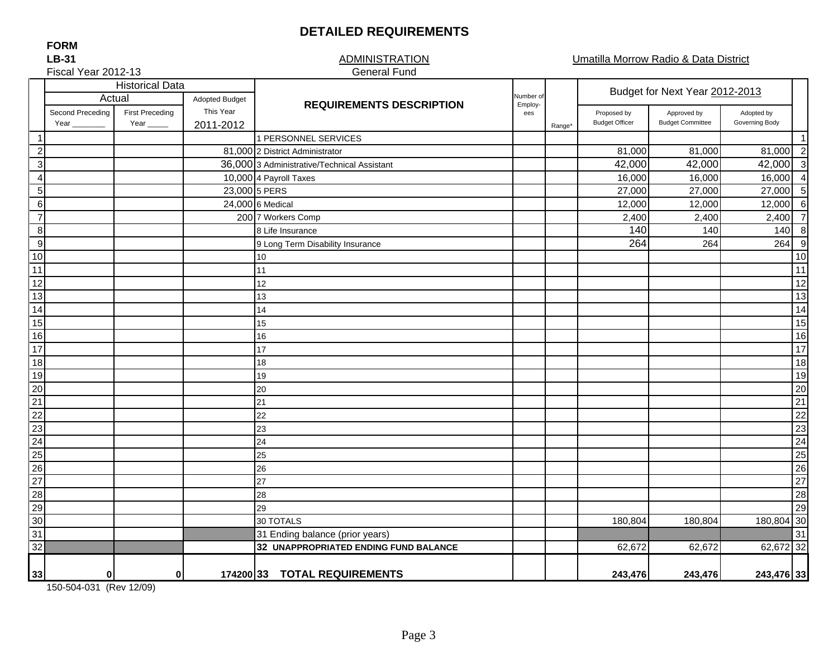#### **DETAILED REQUIREMENTS**

#### ADMINISTRATIONGeneral Fund

Umatilla Morrow Radio & Data District

#### Adopted Budget Second Preceding Pirst Preceding This Year Proposed by This Year Proposed by Adopted by Adopted by Adopted by Year \_\_\_\_\_\_\_\_ Year \_\_\_\_\_ 2011-2012anget Budget Officer Budget Committee Governing Body (Budget Committee Governing Body 1 1 1 PERSONNEL SERVICES2 81,000 81,000 81,000 81,000 81,000 81,000 81,000 81,000 81,000 81,000 81,000 81,000 81,000 81,000 81,000 81, 3 36,000 42,000 42,000 42,000 3 3 Administrative/Technical Assistant 4 10,000 16,000 16,000 16,000 4 4 Payroll Taxes 5 27,000 27,000 27,000 27,000 27,000 27,000 27,000 27,000 27,000 27,000 27,000 27 6 24,000 |6 Medical 12,000 | 12,000 | 12,000 | 6 7 2000|7 Workers Comp | | 2,400| 2,400| 2,400| 7 8 140 140 140 8 99 |9 Long Term Disability Insurance 264 264 9 10 10 11 11 12 12 13 13 14 14 15 15 16 16 17 17 18 18 19 19 20 20 21 21 22 22 23 23 24 24 25 25 26 26 27 27 28 28 29 29 300| | | |30 TOTALS | | | 180,804| 180,804| 180,804|30 31 31 31 Ending balance (prior years) 32 62,672 62,672 62,672 32 **32 UNAPPROPRIATED ENDING FUND BALANCE33 0 0 174200 243,476 243,476 243,476 33 33 TOTAL REQUIREMENTS**Range\* Historical Data<br>Actual 1 Adopted Budget Nudget Nudget Actual 1 Adopted Budget Budget Actual 1 Adopted Budget Budget 1 Adopted Budget **Historical Preceding Adopted Budget REQUIREMENTS DESCRIPTION** Employees5 PERS  $24.000$  6 Medical 7 Workers Comp 8 Life Insurance1314151610111221 22 2324171819202930 TOTALS25262728

150-504-031 (Rev 12/09)

**FORMLB-31**

# Fiscal Year 2012-13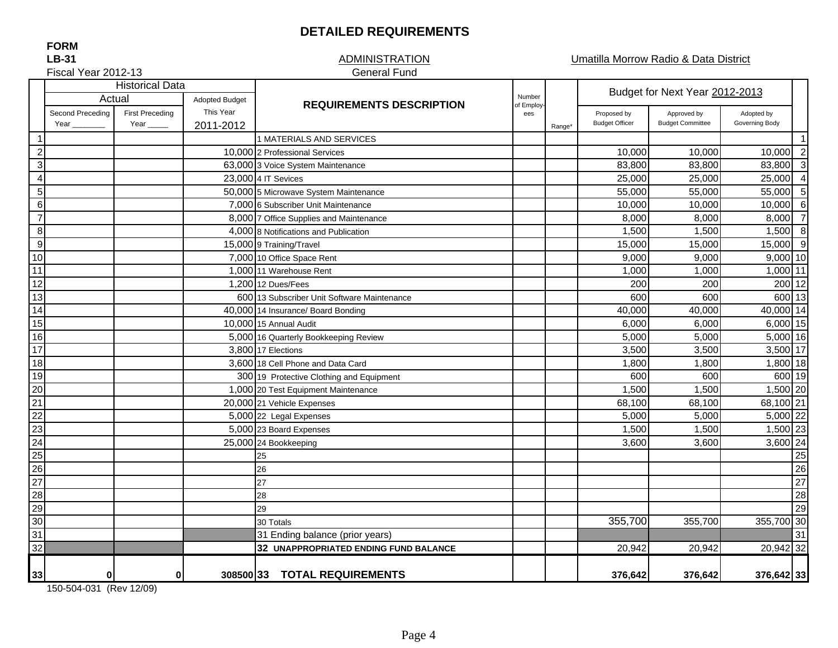#### **DETAILED REQUIREMENTS**

#### **ADMINISTRATION** General Fund

Umatilla Morrow Radio & Data District

Fiscal Year 2012-13

|                         | <b>Historical Data</b>   |                                |                        |                                             |                       |                                 |                                      | Budget for Next Year 2012-2013         |                              |                          |  |  |
|-------------------------|--------------------------|--------------------------------|------------------------|---------------------------------------------|-----------------------|---------------------------------|--------------------------------------|----------------------------------------|------------------------------|--------------------------|--|--|
|                         |                          | Actual                         |                        |                                             | <b>Adopted Budget</b> | <b>REQUIREMENTS DESCRIPTION</b> | Number<br>of Employ-                 |                                        |                              |                          |  |  |
|                         | Second Preceding<br>Year | <b>First Preceding</b><br>Year | This Year<br>2011-2012 |                                             | ees                   | Range <sup>*</sup>              | Proposed by<br><b>Budget Officer</b> | Approved by<br><b>Budget Committee</b> | Adopted by<br>Governing Body |                          |  |  |
| $\overline{1}$          |                          |                                |                        | 1 MATERIALS AND SERVICES                    |                       |                                 |                                      |                                        |                              | -1                       |  |  |
| $\overline{\mathbf{c}}$ |                          |                                |                        | 10,000 2 Professional Services              |                       |                                 | 10,000                               | 10,000                                 | 10,000                       | $\overline{\phantom{0}}$ |  |  |
| $\sqrt{3}$              |                          |                                |                        | 63,000 3 Voice System Maintenance           |                       |                                 | 83,800                               | 83,800                                 | 83,800                       | $\overline{\mathbf{3}}$  |  |  |
| $\overline{4}$          |                          |                                |                        | 23,000 4 IT Sevices                         |                       |                                 | 25,000                               | 25,000                                 | 25,000                       | $\overline{4}$           |  |  |
| $\sqrt{5}$              |                          |                                |                        | 50,000 5 Microwave System Maintenance       |                       |                                 | 55,000                               | 55,000                                 | 55,000                       | 5                        |  |  |
| $\,6\,$                 |                          |                                |                        | 7,000 6 Subscriber Unit Maintenance         |                       |                                 | 10,000                               | 10,000                                 | 10,000                       | 6                        |  |  |
| $\overline{7}$          |                          |                                |                        | 8,000 7 Office Supplies and Maintenance     |                       |                                 | 8,000                                | 8,000                                  | 8,000                        | $\overline{7}$           |  |  |
| $\,8\,$                 |                          |                                |                        | 4,000 8 Notifications and Publication       |                       |                                 | 1,500                                | 1,500                                  | $1,500$ 8                    |                          |  |  |
| $\boldsymbol{9}$        |                          |                                |                        | 15,000 9 Training/Travel                    |                       |                                 | 15,000                               | 15,000                                 | 15,000                       | - 9                      |  |  |
| 10                      |                          |                                |                        | 7,000 10 Office Space Rent                  |                       |                                 | 9,000                                | 9,000                                  | $9,000$ 10                   |                          |  |  |
| 11                      |                          |                                |                        | 1.000 11 Warehouse Rent                     |                       |                                 | 1,000                                | 1,000                                  | 1,000 11                     |                          |  |  |
| $\overline{12}$         |                          |                                |                        | 1,200 12 Dues/Fees                          |                       |                                 | 200                                  | 200                                    | 200 12                       |                          |  |  |
| 13                      |                          |                                |                        | 600 13 Subscriber Unit Software Maintenance |                       |                                 | 600                                  | 600                                    | 600 13                       |                          |  |  |
| 14                      |                          |                                |                        | 40,000 14 Insurance/ Board Bonding          |                       |                                 | 40,000                               | 40,000                                 | 40,000 14                    |                          |  |  |
| 15                      |                          |                                |                        | 10.000 15 Annual Audit                      |                       |                                 | 6,000                                | 6,000                                  | 6,000 15                     |                          |  |  |
| 16                      |                          |                                |                        | 5,000 16 Quarterly Bookkeeping Review       |                       |                                 | 5,000                                | 5,000                                  | 5,000 16                     |                          |  |  |
| $\overline{17}$         |                          |                                |                        | 3,800 17 Elections                          |                       |                                 | 3,500                                | 3,500                                  | 3,500 17                     |                          |  |  |
| 18                      |                          |                                |                        | 3,600 18 Cell Phone and Data Card           |                       |                                 | 1,800                                | 1,800                                  | 1,800 18                     |                          |  |  |
| 19                      |                          |                                |                        | 300 19 Protective Clothing and Equipment    |                       |                                 | 600                                  | 600                                    | 600 19                       |                          |  |  |
| 20                      |                          |                                |                        | 1,000 20 Test Equipment Maintenance         |                       |                                 | 1,500                                | 1,500                                  | 1,500 20                     |                          |  |  |
| 21                      |                          |                                |                        | 20,000 21 Vehicle Expenses                  |                       |                                 | 68,100                               | 68,100                                 | 68,100 21                    |                          |  |  |
| 22                      |                          |                                |                        | 5,000 22 Legal Expenses                     |                       |                                 | 5,000                                | 5,000                                  | 5,000 22                     |                          |  |  |
| 23                      |                          |                                |                        | 5,000 23 Board Expenses                     |                       |                                 | 1,500                                | 1,500                                  | 1,500 23                     |                          |  |  |
| 24                      |                          |                                |                        | 25,000 24 Bookkeeping                       |                       |                                 | 3,600                                | 3,600                                  | 3,600 24                     |                          |  |  |
| $\overline{25}$         |                          |                                |                        | 25                                          |                       |                                 |                                      |                                        |                              | 25                       |  |  |
| 26                      |                          |                                |                        | 26                                          |                       |                                 |                                      |                                        |                              | 26                       |  |  |
| $\overline{27}$         |                          |                                |                        | 27                                          |                       |                                 |                                      |                                        |                              | 27                       |  |  |
| $\overline{28}$         |                          |                                |                        | 28                                          |                       |                                 |                                      |                                        |                              | 28                       |  |  |
| 29                      |                          |                                |                        | 29                                          |                       |                                 |                                      |                                        |                              | 29                       |  |  |
| 30                      |                          |                                |                        | 30 Totals                                   |                       |                                 | 355,700                              | 355,700                                | 355,700 30                   |                          |  |  |
| 31                      |                          |                                |                        | 31 Ending balance (prior years)             |                       |                                 |                                      |                                        |                              | 31                       |  |  |
| 32                      |                          |                                |                        | 32 UNAPPROPRIATED ENDING FUND BALANCE       |                       |                                 | 20,942                               | 20,942                                 | 20,942 32                    |                          |  |  |
| 33                      | $\bf{0}$                 | $\mathbf{0}$                   |                        | 308500 33 TOTAL REQUIREMENTS                |                       |                                 | 376,642                              | 376,642                                | 376,642 33                   |                          |  |  |

150-504-031 (Rev 12/09)

**FORM**

# **LB-31**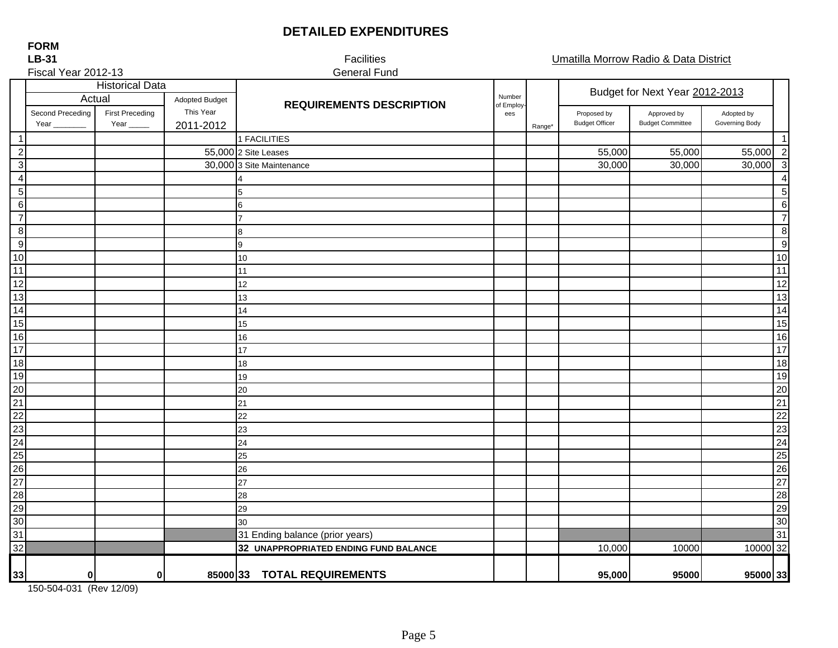### **DETAILED EXPENDITURES**

Adopted Budget Second Preceding **Primary First Preceding Proposed by Proposed by Approved by Adopted by Adopted by Adopted by Adopted by Adopted by Adopted by Adopted by Adopted by Adopted by Adopted by Adopted by Adopted by Adopted by A** Year \_\_\_\_\_\_\_\_\_\_\_\_ Year \_\_\_\_\_\_\_\_\_\_ 2011-2012 ange\* Budget Officer Budget Committee Governing Body (November 2009) (Range\* Budget Committee Governing Body 1 1 2 55,000 |2 Site Leases 55,000 | 55,000 | 55,000 | 2 3 30,000 30,000 30,000 30,000 3 3 Site Maintenance4 4 5 5 6 6 7 7 8 8 9 9 10 10 11 11 12 12 13 13 14 14 15 15 16 16 17 17 18 18 19 19 20 20 21 21 22 22 23 23 24 24 25 25 26 26 27 27 28 28 29 29 30 30 31 31 31 Ending balance (prior years) 32 10,000 10000 10000 32 **32 UNAPPROPRIATED ENDING FUND BALANCE 33 0 0 85000 95,000 95000 95000 33 33 TOTAL REQUIREMENTS**Fiscal Year 2012-13 General Fund Range\* Historical Data<br>Actual Adopted Budget **Budget Budget COLL Adopted Budget Report Following Colleger** Report Following Property of Number **Here** Adopted Budget **REQUIREMENTS DESCRIPTION**<br>First Preceding This Year **REQUIREMENTS DESCRIPTION** of Employees 56781 FACILITIES413 14 1516 910 111221222324  $\overline{17}$ 18 19 2029 3025 26 2728

150-504-031 (Rev 12/09)

**FORMLB-31**

Facilities Umatilla Morrow Radio & Data District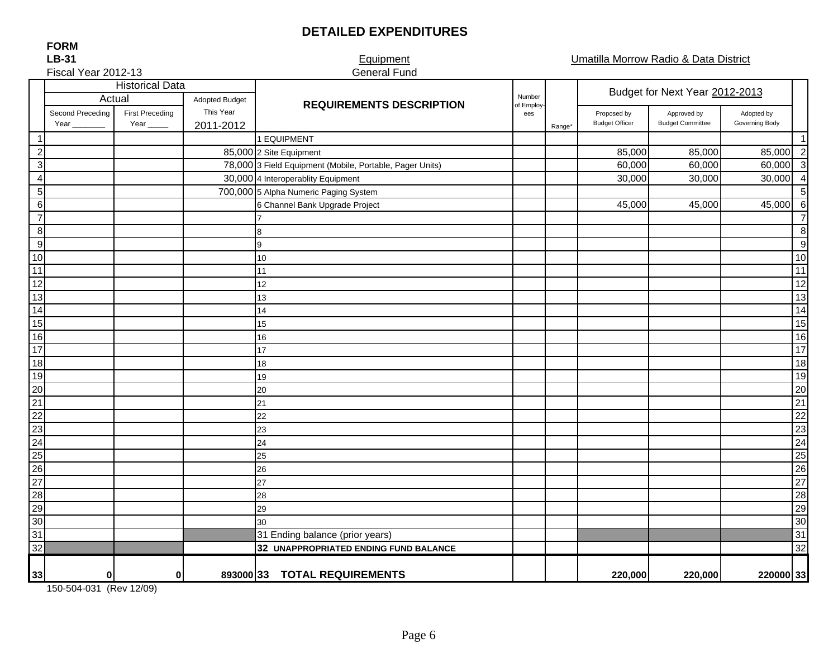## **DETAILED EXPENDITURES**

Umatilla Morrow Radio & Data District

#### **FORM LB-31**

#### $F$ iscal Year 2012-12

|                 | <b>LB-31</b>                     |                                       |                        | Equipment                                                |                   |        |                                      | Umatilla Morrow Radio & Data District  |                              |                                |  |  |
|-----------------|----------------------------------|---------------------------------------|------------------------|----------------------------------------------------------|-------------------|--------|--------------------------------------|----------------------------------------|------------------------------|--------------------------------|--|--|
|                 | Fiscal Year 2012-13              |                                       |                        | <b>General Fund</b>                                      |                   |        |                                      |                                        |                              |                                |  |  |
|                 | <b>Historical Data</b><br>Actual |                                       |                        |                                                          | Adopted Budget    |        | Number                               |                                        |                              | Budget for Next Year 2012-2013 |  |  |
|                 | Second Preceding<br>Year         | <b>First Preceding</b><br>Year $_{-}$ | This Year<br>2011-2012 | <b>REQUIREMENTS DESCRIPTION</b>                          | of Employ-<br>ees | Range* | Proposed by<br><b>Budget Officer</b> | Approved by<br><b>Budget Committee</b> | Adopted by<br>Governing Body |                                |  |  |
| -1              |                                  |                                       |                        | 1 EQUIPMENT                                              |                   |        |                                      |                                        |                              | $\overline{1}$                 |  |  |
| $\overline{2}$  |                                  |                                       |                        | 85,000 2 Site Equipment                                  |                   |        | 85,000                               | 85,000                                 | 85,000 2                     |                                |  |  |
| $\sqrt{3}$      |                                  |                                       |                        | 78,000 3 Field Equipment (Mobile, Portable, Pager Units) |                   |        | 60,000                               | 60,000                                 | 60,000 3                     |                                |  |  |
| $\overline{4}$  |                                  |                                       |                        | 30,000 4 Interoperablity Equipment                       |                   |        | 30,000                               | 30,000                                 | $30,000$ 4                   |                                |  |  |
| $\sqrt{5}$      |                                  |                                       |                        | 700,000 5 Alpha Numeric Paging System                    |                   |        |                                      |                                        |                              | $\overline{5}$                 |  |  |
| $\,6$           |                                  |                                       |                        | 6 Channel Bank Upgrade Project                           |                   |        | 45,000                               | 45,000                                 | 45,000                       | $\,6$                          |  |  |
| $\overline{7}$  |                                  |                                       |                        |                                                          |                   |        |                                      |                                        |                              | $\overline{7}$                 |  |  |
| 8 <sup>8</sup>  |                                  |                                       |                        | 8                                                        |                   |        |                                      |                                        |                              | 8                              |  |  |
| 9               |                                  |                                       |                        | 9                                                        |                   |        |                                      |                                        |                              | 9                              |  |  |
| 10              |                                  |                                       |                        | 10                                                       |                   |        |                                      |                                        |                              | 10                             |  |  |
| 11              |                                  |                                       |                        | 11                                                       |                   |        |                                      |                                        |                              | $11$                           |  |  |
| 12              |                                  |                                       |                        | 12                                                       |                   |        |                                      |                                        |                              | 12                             |  |  |
| 13              |                                  |                                       |                        | 13                                                       |                   |        |                                      |                                        |                              | 13                             |  |  |
| $\overline{14}$ |                                  |                                       |                        | 14                                                       |                   |        |                                      |                                        |                              | 14                             |  |  |
| 15              |                                  |                                       |                        | 15                                                       |                   |        |                                      |                                        |                              | 15                             |  |  |
| 16              |                                  |                                       |                        | 16                                                       |                   |        |                                      |                                        |                              | 16                             |  |  |
| 17              |                                  |                                       |                        | 17                                                       |                   |        |                                      |                                        |                              | 17                             |  |  |
| 18              |                                  |                                       |                        | 18                                                       |                   |        |                                      |                                        |                              | 18                             |  |  |
| 19              |                                  |                                       |                        | 19                                                       |                   |        |                                      |                                        |                              | 19                             |  |  |
| $\overline{20}$ |                                  |                                       |                        | 20                                                       |                   |        |                                      |                                        |                              | 20                             |  |  |
| $\frac{11}{21}$ |                                  |                                       |                        | 21                                                       |                   |        |                                      |                                        |                              | 21                             |  |  |
|                 |                                  |                                       |                        | 22                                                       |                   |        |                                      |                                        |                              | 22                             |  |  |
| 23              |                                  |                                       |                        | 23                                                       |                   |        |                                      |                                        |                              | 23                             |  |  |
| 24              |                                  |                                       |                        | 24                                                       |                   |        |                                      |                                        |                              | $\overline{24}$                |  |  |
| 25              |                                  |                                       |                        | 25                                                       |                   |        |                                      |                                        |                              | $\overline{25}$                |  |  |
| 26              |                                  |                                       |                        | 26                                                       |                   |        |                                      |                                        |                              | 26                             |  |  |
| 27              |                                  |                                       |                        | 27                                                       |                   |        |                                      |                                        |                              | 27                             |  |  |
| $\frac{28}{29}$ |                                  |                                       |                        | 28                                                       |                   |        |                                      |                                        |                              | 28                             |  |  |
|                 |                                  |                                       |                        | 29                                                       |                   |        |                                      |                                        |                              | 29                             |  |  |
| 30              |                                  |                                       |                        | 30                                                       |                   |        |                                      |                                        |                              | 30                             |  |  |
| 31              |                                  |                                       |                        | 31 Ending balance (prior years)                          |                   |        |                                      |                                        |                              | 31                             |  |  |
| 32              |                                  |                                       |                        | 32 UNAPPROPRIATED ENDING FUND BALANCE                    |                   |        |                                      |                                        |                              | 32                             |  |  |
| 33              | $\bf{0}$                         | $\mathbf{0}$                          |                        | 893000 33 TOTAL REQUIREMENTS                             |                   |        | 220,000                              | 220,000                                | 220000 33                    |                                |  |  |

150-504-031 (Rev 12/09)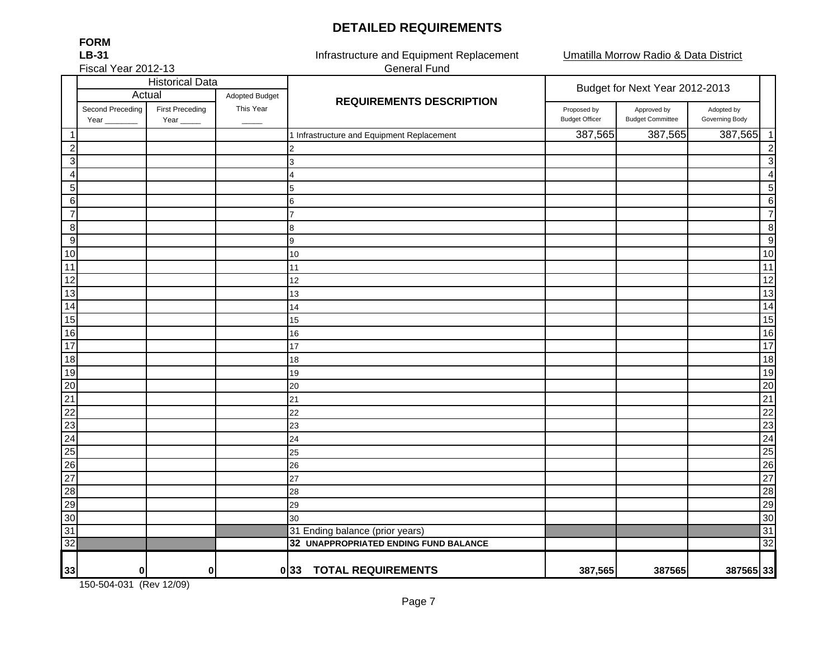#### **DETAILED REQUIREMENTS**

Umatilla Morrow Radio & Data District

Fiscal Year 2012-13

**FORMLB-31**

Infrastructure and Equipment Replacement General Fund

|                 |                          |                                       | <b>Historical Data</b> |                                            | Budget for Next Year 2012-2013       |                                        |                              |  |
|-----------------|--------------------------|---------------------------------------|------------------------|--------------------------------------------|--------------------------------------|----------------------------------------|------------------------------|--|
|                 |                          | Actual<br><b>Adopted Budget</b>       |                        | <b>REQUIREMENTS DESCRIPTION</b>            |                                      |                                        |                              |  |
|                 | Second Preceding<br>Year | <b>First Preceding</b><br>Year $_{-}$ | This Year              |                                            | Proposed by<br><b>Budget Officer</b> | Approved by<br><b>Budget Committee</b> | Adopted by<br>Governing Body |  |
| $\mathbf{1}$    |                          |                                       |                        | 1 Infrastructure and Equipment Replacement | 387,565                              | 387,565                                | 387,565<br>$\overline{1}$    |  |
| $\mathbf{2}$    |                          |                                       |                        |                                            |                                      |                                        | $\overline{2}$               |  |
| 3 <sup>1</sup>  |                          |                                       |                        | 3                                          |                                      |                                        | 3                            |  |
| $\vert$         |                          |                                       |                        | $\overline{4}$                             |                                      |                                        | $\overline{4}$               |  |
| 5 <sup>1</sup>  |                          |                                       |                        | 5                                          |                                      |                                        | 5                            |  |
| $6 \mid$        |                          |                                       |                        | 6                                          |                                      |                                        | $\,6$                        |  |
| $\overline{7}$  |                          |                                       |                        | 7                                          |                                      |                                        | $\overline{7}$               |  |
| 8 <sup>1</sup>  |                          |                                       |                        | 8                                          |                                      |                                        | 8                            |  |
| 9               |                          |                                       |                        | 9                                          |                                      |                                        | 9                            |  |
| 10              |                          |                                       |                        | 10                                         |                                      |                                        | 10                           |  |
| 11              |                          |                                       |                        | 11                                         |                                      |                                        | 11                           |  |
| 12              |                          |                                       |                        | 12                                         |                                      |                                        | $\overline{12}$              |  |
| 13              |                          |                                       |                        | 13                                         |                                      |                                        | 13                           |  |
| 14              |                          |                                       |                        | 14                                         |                                      |                                        | 14                           |  |
| 15              |                          |                                       |                        | 15                                         |                                      |                                        | 15                           |  |
| 16              |                          |                                       |                        | 16                                         |                                      |                                        | 16                           |  |
| 17              |                          |                                       |                        | 17                                         |                                      |                                        | 17                           |  |
| 18              |                          |                                       |                        | 18                                         |                                      |                                        | 18                           |  |
| 19              |                          |                                       |                        | 19                                         |                                      |                                        | 19                           |  |
| 20              |                          |                                       |                        | 20                                         |                                      |                                        | 20                           |  |
| $\overline{21}$ |                          |                                       |                        | 21                                         |                                      |                                        | 21                           |  |
| $\overline{22}$ |                          |                                       |                        | 22                                         |                                      |                                        | $\overline{22}$              |  |
| $\overline{23}$ |                          |                                       |                        | 23                                         |                                      |                                        | 23                           |  |
| 24              |                          |                                       |                        | 24                                         |                                      |                                        | 24                           |  |
| 25              |                          |                                       |                        | 25                                         |                                      |                                        | 25                           |  |
| 26              |                          |                                       |                        | 26                                         |                                      |                                        | 26                           |  |
| 27              |                          |                                       |                        | 27                                         |                                      |                                        | 27                           |  |
| 28              |                          |                                       |                        | 28                                         |                                      |                                        | 28                           |  |
| 29              |                          |                                       |                        | 29                                         |                                      |                                        | 29                           |  |
| 30              |                          |                                       |                        | 30                                         |                                      |                                        | 30                           |  |
| 31              |                          |                                       |                        | 31 Ending balance (prior years)            |                                      |                                        | 31                           |  |
| 32              |                          |                                       |                        | 32 UNAPPROPRIATED ENDING FUND BALANCE      |                                      |                                        | 32                           |  |
| 33              | $\bf{0}$                 | 0                                     |                        | 033 TOTAL REQUIREMENTS                     | 387,565                              | 387565                                 | 387565 33                    |  |

150-504-031 (Rev 12/09)